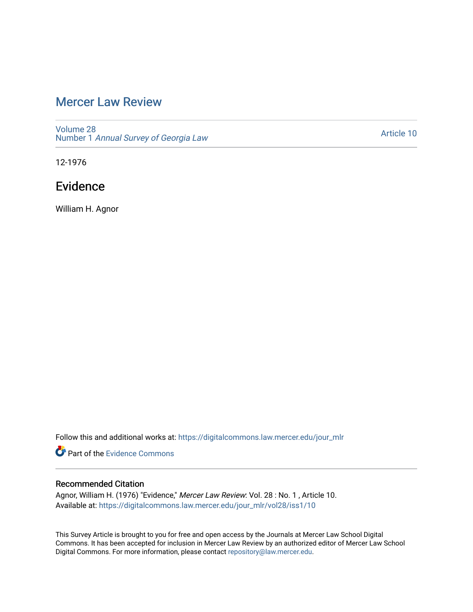# [Mercer Law Review](https://digitalcommons.law.mercer.edu/jour_mlr)

[Volume 28](https://digitalcommons.law.mercer.edu/jour_mlr/vol28) Number 1 [Annual Survey of Georgia Law](https://digitalcommons.law.mercer.edu/jour_mlr/vol28/iss1) 

[Article 10](https://digitalcommons.law.mercer.edu/jour_mlr/vol28/iss1/10) 

12-1976

# Evidence

William H. Agnor

Follow this and additional works at: [https://digitalcommons.law.mercer.edu/jour\\_mlr](https://digitalcommons.law.mercer.edu/jour_mlr?utm_source=digitalcommons.law.mercer.edu%2Fjour_mlr%2Fvol28%2Fiss1%2F10&utm_medium=PDF&utm_campaign=PDFCoverPages)

Part of the [Evidence Commons](http://network.bepress.com/hgg/discipline/601?utm_source=digitalcommons.law.mercer.edu%2Fjour_mlr%2Fvol28%2Fiss1%2F10&utm_medium=PDF&utm_campaign=PDFCoverPages) 

# Recommended Citation

Agnor, William H. (1976) "Evidence," Mercer Law Review: Vol. 28 : No. 1 , Article 10. Available at: [https://digitalcommons.law.mercer.edu/jour\\_mlr/vol28/iss1/10](https://digitalcommons.law.mercer.edu/jour_mlr/vol28/iss1/10?utm_source=digitalcommons.law.mercer.edu%2Fjour_mlr%2Fvol28%2Fiss1%2F10&utm_medium=PDF&utm_campaign=PDFCoverPages) 

This Survey Article is brought to you for free and open access by the Journals at Mercer Law School Digital Commons. It has been accepted for inclusion in Mercer Law Review by an authorized editor of Mercer Law School Digital Commons. For more information, please contact [repository@law.mercer.edu](mailto:repository@law.mercer.edu).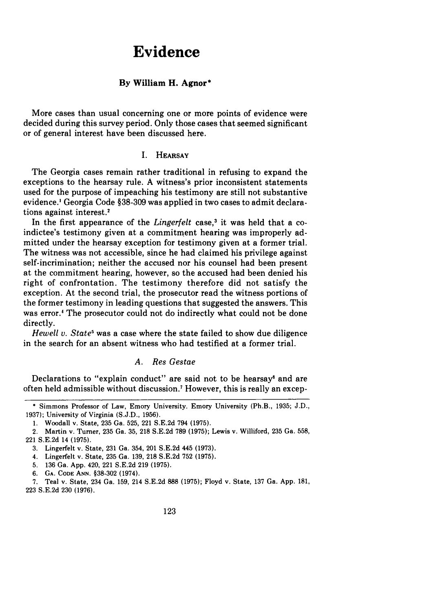# **Evidence**

## **By William H. Agnor\***

More cases than usual concerning one or more points of evidence were decided during this survey period. Only those cases that seemed significant or of general interest have been discussed here.

# **I.** HEARSAY

The Georgia cases remain rather traditional in refusing to expand the exceptions to the hearsay rule. **A** witness's prior inconsistent statements used for the purpose of impeaching his testimony are still not substantive evidence.' Georgia Code **§38-309** was applied in two cases to admit declarations against interest.<sup>2</sup>

In the first appearance of the *Lingerfelt* case,<sup>3</sup> it was held that a coindictee's testimony given at a commitment hearing was improperly admitted under the hearsay exception for testimony given at a former trial. The witness was not accessible, since he had claimed his privilege against self-incrimination; neither the accused nor his counsel had been present at the commitment hearing, however, so the accused had been denied his right of confrontation. The testimony therefore did not satisfy the exception. At the second trial, the prosecutor read the witness portions of the former testimony in leading questions that suggested the answers. This was error.<sup>4</sup> The prosecutor could not do indirectly what could not be done directly.

*Hewell v. State"* was a case where the state failed to show due diligence in the search for an absent witness who had testified at a former trial.

### *A. Res Gestae*

Declarations to "explain conduct" are said not to be hearsay<sup>6</sup> and are often held admissible without discussion.7 However, this is really an excep-

<sup>\*</sup> Simmons Professor of Law, Emory University. Emory University (Ph.B., 1935; J.D., 1937); University of Virginia (S.J.D., 1956).

<sup>1.</sup> Woodall v. State, 235 Ga. 525, 221 S.E.2d 794 (1975).

<sup>2.</sup> Martin v. Turner, 235 Ga. 35, 218 S.E.2d 789 (1975); Lewis v. Williford, 235 Ga. 558, 221 S.E.2d 14 (1975).

<sup>3.</sup> Lingerfelt v. State, 231 Ga. 354, 201 S.E.2d 445 (1973).

<sup>4.</sup> Lingerfelt v. State, 235 Ga. 139, 218 S.E.2d 752 (1975).

<sup>5. 136</sup> Ga. App. 420, 221 S.E.2d 219 (1975).

<sup>6.</sup> **GA.** CODE **ANN.** §38-302 (1974).

<sup>7.</sup> Teal v. State, 234 Ga. 159, 214 S.E.2d 888 (1975); Floyd v. State, 137 Ga. App. 181, 223 S.E.2d 230 (1976).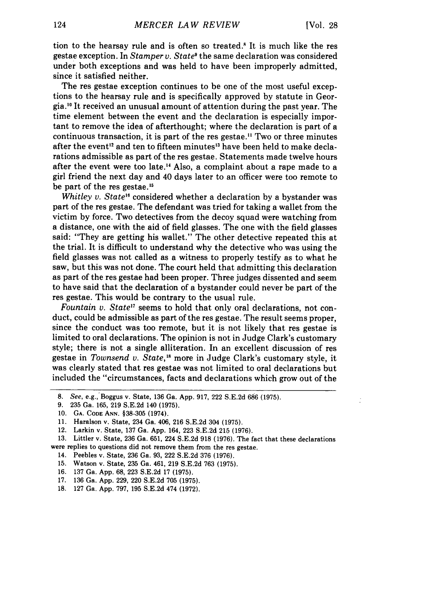tion to the hearsay rule and is often so treated." It is much like the res gestae exception. In *Stamper v. State9* the same declaration was considered under both exceptions and was held to have been improperly admitted, since it satisfied neither.

The res gestae exception continues to be one of the most useful exceptions to the hearsay rule and is specifically approved by statute in Georgia. 10 It received an unusual amount of attention during the past year. The time element between the event and the declaration is especially important to remove the idea of afterthought; where the declaration is part of a continuous transaction, it is part of the res gestae." Two or three minutes after the event<sup>12</sup> and ten to fifteen minutes<sup>13</sup> have been held to make declarations admissible as part of the res gestae. Statements made twelve hours after the event were too late.<sup>14</sup> Also, a complaint about a rape made to a girl friend the next day and 40 days later to an officer were too remote to be part of the res gestae.<sup>15</sup>

*Whitley v. State<sup>16</sup>* considered whether a declaration by a bystander was part of the res gestae. The defendant was tried for taking a wallet from the victim by force. Two detectives from the decoy squad were watching from a distance, one with the aid of field glasses. The one with the field glasses said: "They are getting his wallet." The other detective repeated this at the trial. It is difficult to understand why the detective who was using the field glasses was not called as a witness to properly testify as to what he saw, but this was not done. The court held that admitting this declaration as part of the res gestae had been proper. Three judges dissented and seem to have said that the declaration of a bystander could never be part of the res gestae. This would be contrary to the usual rule.

*Fountain v. State"* seems to hold that only oral declarations, not conduct, could be admissible as part of the res gestae. The result seems proper, since the conduct was too remote, but it is not likely that res gestae is limited to oral declarations. The opinion is not in Judge Clark's customary style; there is not a single alliteration. In an excellent discussion of res gestae in *Townsend v. State*,<sup>18</sup> more in Judge Clark's customary style, it was clearly stated that res gestae was not limited to oral declarations but included the "circumstances, facts and declarations which grow out of the

- 15. Watson v. State, 235 Ga. 461, 219 S.E.2d 763 (1975).
- 16. 137 Ga. App. 68, 223 S.E.2d 17 (1975).
- 17. 136 Ga. App. 229, 220 S.E.2d 705 (1975).
- 18. 127 Ga. App. 797, 195 S.E.2d 474 (1972).

*<sup>8.</sup>* See, e.g.,'Boggus v. State, 136 Ga. App. 917, 222 S.E.2d 686 (1975).

<sup>9. 235</sup> Ga. 165, 219 S.E.2d 140 (1975).

<sup>10.</sup> GA. **CODE** ANN. §38-305 (1974).

<sup>11.</sup> Haralson v. State, 234 Ga. 406, 216 S.E.2d 304 (1975).

<sup>12.</sup> Larkin v. State, 137 Ga. App. 164, 223 S.E.2d 215 (1976).

<sup>13.</sup> Littler v. State, 236 Ga. 651, 224 S.E.2d 918 (1976). The fact that these declarations were replies to questions did not remove them from the res gestae.

<sup>14.</sup> Peebles v. State, 236 Ga. 93, 222 S.E.2d 376 (1976).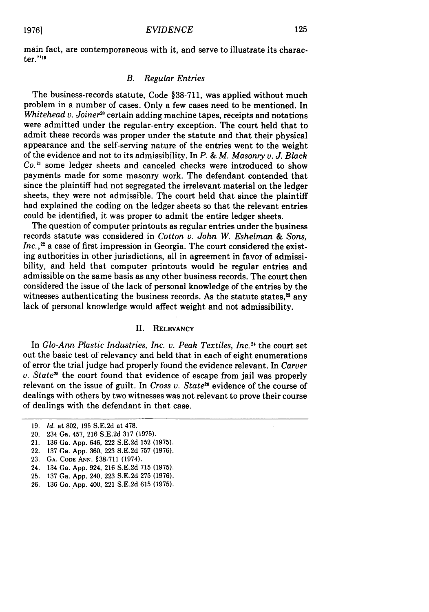main fact, are contemporaneous with it, and serve to illustrate its character.""9

# *B. Regular Entries*

The business-records statute, Code §38-711, was applied without much problem in a number of cases. Only a few cases need to be mentioned. In *Whitehead v. Joiner*<sup>20</sup> certain adding machine tapes, receipts and notations were admitted under the regular-entry exception. The court held that to admit these records was proper under the statute and that their physical appearance and the self-serving nature of the entries went to the weight of the evidence and not to its admissibility. In *P. & M. Masonry* v. *J. Black Co.2'* some ledger sheets and canceled checks were introduced to show payments made for some masonry work. The defendant contended that since the plaintiff had not segregated the irrelevant material on the ledger sheets, they were not admissible. The court held that since the plaintiff had explained the coding on the ledger sheets so that the relevant entries could be identified, it was proper to admit the entire ledger sheets.

The question of computer printouts as regular entries under the business records statute was considered in *Cotton v. John W. Eshelman & Sons,* Inc.,<sup>22</sup> a case of first impression in Georgia. The court considered the existing authorities in other jurisdictions, all in agreement in favor of admissibility, and held that computer printouts would be regular entries and admissible on the same basis as any other business records. The court then considered the issue of the lack of personal knowledge of the entries by the witnesses authenticating the business records. As the statute states, $23$  any lack of personal knowledge would affect weight and not admissibility.

#### II. RELEVANCY

In *Glo-Ann Plastic Industries, Inc. v. Peak Textiles, Inc.2 <sup>1</sup>*the court set out the basic test of relevancy and held that in each of eight enumerations of error the trial judge had properly found the evidence relevant. In *Carver v. State25* the court found that evidence of escape from jail was properly relevant on the issue of guilt. In *Cross v. State*<sup>26</sup> evidence of the course of dealings with others by two witnesses was not relevant to prove their course of dealings with the defendant in that case.

- 20. 234 Ga. 457, 216 S.E.2d 317 (1975).
- 21. 136 Ga. App. 646, 222 S.E.2d 152 (1975).
- 22. 137 Ga. App. 360, 223 S.E.2d 757 (1976).
- **23. GA. CODE ANN.** §38-711 (1974).
- 24. 134 Ga. App. 924, 216 S.E.2d 715 (1975).
- 25. 137 Ga. App. 240, 223 S.E.2d 275 (1976).
- 26. 136 Ga. App. 400, 221 S.E.2d 615 (1975).

<sup>19.</sup> *Id.* at 802, 195 S.E.2d at 478.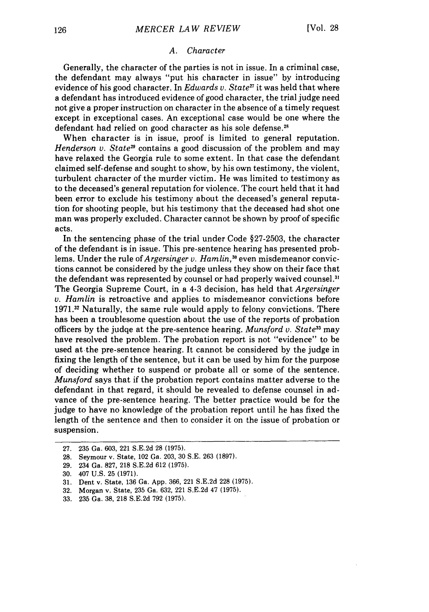#### *A. Character*

Generally, the character of the parties is not in issue. In a criminal case, the defendant may always "put his character in issue" by introducing evidence of his good character. In *Edwards v. State<sup>27</sup>* it was held that where a defendant has introduced evidence of good character, the trial judge need not give a proper instruction on character in the absence of a timely request except in exceptional cases. An exceptional case would be one where the defendant had relied on good character as his sole defense.<sup>28</sup>

When character is in issue, proof is limited to general reputation. *Henderson v. State<sup>29</sup>* contains a good discussion of the problem and may have relaxed the Georgia rule to some extent. In that case the defendant claimed self-defense and sought to show, by his own testimony, the violent, turbulent character of the murder victim. He was limited to testimony as to the deceased's general reputation for violence. The court held that it had been error to exclude his testimony about the deceased's general reputation for shooting people, but his testimony that the deceased had shot one man was properly excluded. Character cannot be shown by proof of specific acts.

In the sentencing phase of the trial under Code §27-2503, the character of the defendant is in issue. This pre-sentence hearing has presented problems. Under the rule of *Argersinger v. Hamlin*,<sup>30</sup> even misdemeanor convictions cannot be considered by the judge unless they show on their face that the defendant was represented by counsel or had properly waived counsel." The Georgia Supreme Court, in a 4-3 decision, has held that *Argersinger v. Hamlin* is retroactive and applies to misdemeanor convictions before 1971.32 Naturally, the same rule would apply to felony convictions. There has been a troublesome question about the use of the reports of probation officers by the judqe at the pre-sentence hearing. *Munsford v. State*<sup>33</sup> may have resolved the problem. The probation report is not "evidence" to be used at the pre-sentence hearing. It cannot be considered by the judge in fixing the length of the sentence, but it can be used by him for the purpose of deciding whether to suspend or probate all or some of the sentence. *Munsford* says that if the probation report contains matter adverse to the defendant in that regard, it should be revealed to defense counsel in advance of the pre-sentence hearing. The better practice would be for the judge to have no knowledge of the probation report until he has fixed the length of the sentence and then to consider it on the issue of probation or suspension.

- 28. Seymour v. State, 102 Ga. 203, 30 S.E. 263 (1897).
- 29. 234 Ga. 827, 218 S.E.2d 612 (1975).

32. Morgan v. State, 235 Ga. 632, 221 S.E.2d 47 (1975).

<sup>27. 235</sup> Ga. 603, 221 S.E.2d 28 (1975).

<sup>30. 407</sup> U.S. 25 (1971).

<sup>31.</sup> Dent v. State, 136 Ga. App. 366, 221 S.E.2d 228 (1975).

<sup>33. 235</sup> Ga. 38, 218 S.E.2d 792 (1975).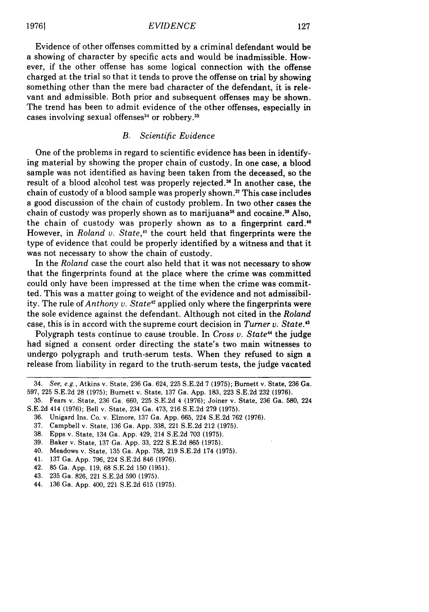#### *EVIDENCE*

Evidence of other offenses committed by a criminal defendant would be a showing of character by specific acts and would be inadmissible. However, if the other offense has some logical connection with the offense charged at the trial so that it tends to prove the offense on trial by showing something other than the mere bad character of the defendant, it is relevant and admissible. Both prior and subsequent offenses may be shown. The trend has been to admit evidence of the other offenses, especially in cases involving sexual offenses<sup>34</sup> or robbery.<sup>35</sup>

# *B. Scientific Evidence*

One of the problems in regard to scientific evidence has been in identifying material by showing the proper chain of custody. In one case, a blood sample was not identified as having been taken from the deceased, so the result of a blood alcohol test was properly rejected.<sup>36</sup> In another case, the chain of custody of a blood sample was properly shown.<sup>37</sup> This case includes a good discussion of the chain of custody problem. In two other cases the chain of custody was properly shown as to marijuana<sup>38</sup> and cocaine.<sup>39</sup> Also, the chain of custody was properly shown as to a fingerprint card.<sup>40</sup> However, in *Roland v. State,"* the court held that fingerprints were the type of evidence that could be properly identified by a witness and that it was not necessary to show the chain of custody.

In the *Roland* case the court also held that it was not necessary to show that the fingerprints found at the place where the crime was committed could only have been impressed at the time when the crime was committed. This was a matter going to weight of the evidence and not admissibility. The rule of *Anthony v. State<sup>42</sup>* applied only where the fingerprints were the sole evidence against the defendant. Although not cited in the *Roland* case, this is in accord with the supreme court decision in *Turner v. State. <sup>3</sup>*

Polygraph tests continue to cause trouble. In *Cross v. State<sup>44</sup>* the judge had signed a consent order directing the state's two main witnesses to undergo polygraph and truth-serum tests. When they refused to sign a release from liability in regard to the truth-serum tests, the judge vacated

- 37. Campbell v. State, 136 Ga. App. 338, 221 S.E.2d 212 (1975).
- 38. Epps v. State, 134 Ga. App. 429, 214 S.E.2d 703 (1975).
- 39. Baker v. State, 137 Ga. App. 33, 222 S.E.2d 865 (1975).
- 40. Meadows v. State, 135 Ga. App. 758, 219 S.E.2d 174 (1975).
- 41. 137 Ga. App. 796, 224 S.E.2d 846 (1976).
- 42. 85 Ga. App. 119, 68 S.E.2d 150 (1951).
- 43. 235 Ga. 826, 221 S.E.2d 590 (1975).
- 44. 136 Ga. App. 400, 221 S.E.2d 615 (1975).

<sup>34.</sup> See, e.g., Atkins v. State, 236 Ga. 624, 225 S.E.2d 7 (1975); Burnett v. State, 236 Ga. 597, 225 S.E.2d 28 (1975); Burnett v. State, 137 Ga. App. 183, 223 S.E.2d 232 (1976).

<sup>35.</sup> Fears v. State, 236 Ga. 660, 225 S.E.2d 4 (1976); Joiner v. State, 236 Ga. 580, 224 S.E.2d 414 (1976); Bell v. State, 234 Ga. 473, 216 S.E.2d 279 (1975).

<sup>36.</sup> Unigard Ins. Co. v. Elmore, 137 Ga. App. 665, 224 S.E.2d 762 (1976).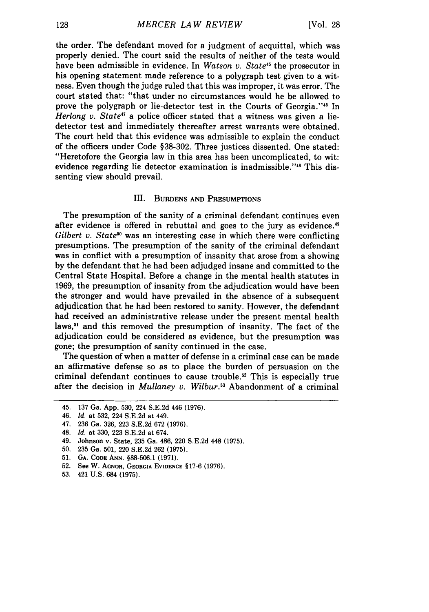the order. The defendant moved for a judgment of acquittal, which was properly denied. The court said the results of neither of the tests would have been admissible in evidence. In *Watson v. State45* the prosecutor in his opening statement made reference to a polygraph test given to a witness. Even though the judge ruled that this was improper, it was error. The court stated that: "that under no circumstances would he be allowed to prove the polygraph or lie-detector test in the Courts of Georgia."<sup>46</sup> In *Herlong v. State<sup>47</sup>* a police officer stated that a witness was given a liedetector test and immediately thereafter arrest warrants were obtained. The court held that this evidence was admissible to explain the conduct of the officers under Code §38-302. Three justices dissented. One stated: "Heretofore the Georgia law in this area has been uncomplicated, to wit: evidence regarding lie detector examination is inadmissible."<sup>48</sup> This dissenting view should prevail.

# **III.** BURDENS AND PRESUMPTIONS

The presumption of the sanity of a criminal defendant continues even after evidence is offered in rebuttal and goes to the jury as evidence.<sup>49</sup> *Gilbert v. State<sup>50</sup>* was an interesting case in which there were conflicting presumptions. The presumption of the sanity of the criminal defendant was in conflict with a presumption of insanity that arose from a showing **by** the defendant that he had been adjudged insane and committed to the Central State Hospital. Before a change in the mental health statutes in **1969,** the presumption of insanity from the adjudication would have been the stronger and would have prevailed in the absence of **a** subsequent adjudication that he had been restored to sanity. However, the defendant had received an administrative release under the present mental health laws,<sup>51</sup> and this removed the presumption of insanity. The fact of the adjudication could be considered as evidence, but the presumption was gone; the presumption of sanity continued in the case.

The question of when a matter of defense in a criminal case can be made an affirmative defense so as to place the burden of persuasion on the criminal defendant continues to cause trouble.<sup>52</sup> This is especially true after the decision in *Mullaney v. Wilbur*.<sup>53</sup> Abandonment of a criminal

- **52.** See W. **AGNOR, GEORGIA EVIDENCE** §17-6 (1976).
- **53.** 421 **U.S.** 684 **(1975).**

<sup>45. 137</sup> Ga. App. 530, 224 S.E.2d 446 (1976).

<sup>46.</sup> *Id.* at 532, 224 S.E.2d at 449.

<sup>47. 236</sup> Ga. 326, 223 S.E.2d 672 (1976).

<sup>48.</sup> *Id.* at 330, 223 S.E.2d at 674.

<sup>49.</sup> Johnson v. State, 235 Ga. 486, 220 S.E.2d 448 (1975).

<sup>50. 235</sup> Ga. 501, 220 S.E.2d 262 (1975).

**<sup>51.</sup> GA. CODE ANN. §88-506.1 (1971).**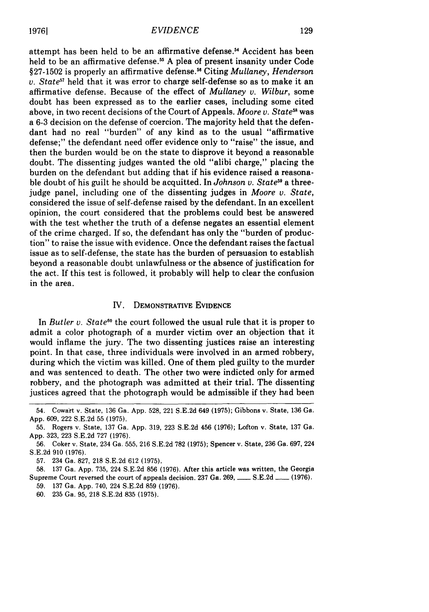attempt has been held to be an affirmative defense.5 Accident has been held to be an affirmative defense.<sup>55</sup> A plea of present insanity under Code §27-1502 is properly an affirmative defense."6 Citing *Mullaney, Henderson v. State<sup>51</sup>* held that it was error to charge self-defense so as to make it an affirmative defense. Because of the effect of *Mullaney v. Wilbur,* some doubt has been expressed as to the earlier cases, including some cited above, in two recent decisions of the Court of Appeals. *Moore v. State"* was a 6-3 decision on the defense of coercion. The majority held that the defendant had no real "burden" of any kind as to the usual "affirmative defense;" the defendant need offer evidence only to "raise" the issue, and then the burden would be on the state to disprove it beyond a reasonable doubt. The dissenting judges wanted the old "alibi charge," placing the burden on the defendant but adding that if his evidence raised a reasonable doubt of his guilt he should be acquitted. In *Johnson v. State* a threejudge panel, including one of the dissenting judges in *Moore v. State,* considered the issue of self-defense raised by the defendant. In an excellent opinion, the court considered that the problems could best be answered with the test whether the truth of a defense negates an essential element of the crime charged. If so, the defendant has only the "burden of production" to raise the issue with evidence. Once the defendant raises the factual issue as to self-defense, the state has the burden of persuasion to establish beyond a reasonable doubt unlawfulness or the absence of justification for the act. If this test is followed, it probably will help to clear the confusion in the area.

## **IV.** DEMONSTRATIVE EVIDENCE

In *Butler v. State"8* the court followed the usual rule that it is proper to admit a color photograph of a murder victim over an objection that it would inflame the jury. The two dissenting justices raise an interesting point. In that case, three individuals were involved in an armed robbery, during which the victim was killed. One of them pled guilty to the murder and was sentenced to death. The other two were indicted only for armed robbery, and the photograph was admitted at their trial. The dissenting justices agreed that the photograph would be admissible if they had been

<sup>54.</sup> Cowart v. State, 136 Ga. **App. 528,** 221 **S.E.2d** 649 **(1975);** Gibbons v. State, **136** Ga. **App. 609,** 222 **S.E.2d 55 (1975).**

**<sup>55.</sup>** Rogers v. State, **137** Ga. **App. 319, 223 S.E.2d** 456 **(1976);** Lofton v. State, **137 Ga. App. 323, 223 S.E.2d 727 (1976).**

**<sup>56.</sup>** Coker v. State, 234 Ga. **555, 216 S.E.2d 782 (1975);** Spencer v. State, 236 Ga. **697,** 224 **S.E.2d 910 (1976).**

**<sup>57.</sup>** 234 Ga. **827, 218 S.E.2d** 612 **(1975).**

**<sup>58. 137</sup>** Ga. **App. 735,** 224 **S.E.2d 856 (1976).** After this article was written, the Georgia Supreme Court reversed the court of appeals decision. **237** Ga. **269, - S.E.2d - (1976).**

**<sup>59. 137</sup>** Ga. **App.** 740, 224 **S.E.2d 859 (1976).**

**<sup>60. 235</sup>** Ga. **95, 218 S.E.2d 835 (1975).**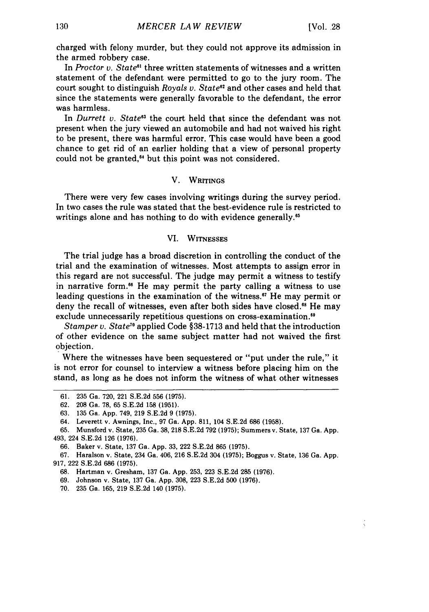charged with felony murder, but they could not approve its admission in the armed robbery case.

In *Proctor v. State"'* three written statements of witnesses and a written statement of the defendant were permitted to go to the jury room. The court sought to distinguish *Royals v. State<sup>62</sup>* and other cases and held that since the statements were generally favorable to the defendant, the error was harmless.

In *Durrett v. State<sup>63</sup>* the court held that since the defendant was not present when the jury viewed an automobile and had not waived his right to be present, there was harmful error. This case would have been a good chance to get rid of an earlier holding that a view of personal property could not be granted,"4 but this point was not considered.

#### V. WRITINGS

There were very few cases involving writings during the survey period. In two cases the rule was stated that the best-evidence rule is restricted to writings alone and has nothing to do with evidence generally.<sup>65</sup>

#### VI. WITNESSES

The trial judge has a broad discretion in controlling the conduct of the trial and the examination of witnesses. Most attempts to assign error in this regard are not successful. The judge may permit a witness to testify in narrative form.<sup>66</sup> He may permit the party calling a witness to use leading questions in the examination of the witness.<sup>67</sup> He may permit or deny the recall of witnesses, even after both sides have closed.<sup>68</sup> He may exclude unnecessarily repetitious questions on cross-examination.<sup>69</sup>

*Stamper v. State"6* applied Code **§38-1713** and held that the introduction of other evidence on the same subject matter had not waived the first objection.

Where the witnesses have been sequestered or "put under the rule," it is not error for counsel to interview a witness before placing him on the stand, as long as he does not inform the witness of what other witnesses

**<sup>61. 235</sup>** Ga. **720,** 221 **S.E.2d 556 (1975).**

**<sup>62. 208</sup>** Ga. **78, 65 S.E.2d 158 (1951).**

**<sup>63. 135</sup>** Ga. **App.** 749, **219 S.E.2d 9 (1975).**

<sup>64.</sup> Leverett v. Awnings, Inc., **97** Ga. **App. 811,** 104 **S.E.2d 686 (1958).**

**<sup>65.</sup>** Munsford v. State, **235** Ga. **38, 218 S.E.2d 792 (1975);** Summers v. State, **137** Ga. **App.** 493, 224 **S.E.2d 126 (1976).**

**<sup>66.</sup>** Baker v. State, **137** Ga. **App. 33,** 222 **S.E.2d 865 (1975).**

**<sup>67.</sup>** Haralson v. State, 234 Ga. 406, **216 S.E.2d** 304 **(1975);** Boggus v. State, **136** Ga. **App. 917,** 222 **S.E.2d 686 (1975).**

**<sup>68.</sup>** Hartman v. Gresham, **137** Ga. **App. 253, 223 S.E.2d 285 (1976).**

**<sup>69.</sup>** Johnson v. State, **137** Ga. **App. 308, 223 S.E.2d 500 (1976).**

**<sup>70. 235</sup>** Ga. **165, 219 S.E.2d** 140 **(1975).**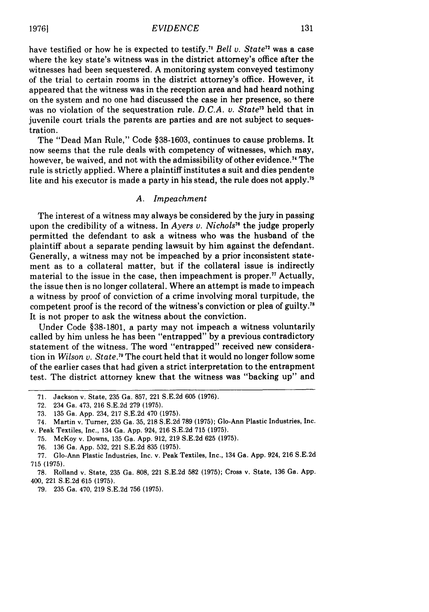have testified or how he is expected to testify.<sup>71</sup> *Bell v. State*<sup>72</sup> was a case where the key state's witness was in the district attorney's office after the witnesses had been sequestered. A monitoring system conveyed testimony of the trial to certain rooms in the district attorney's office. However, it appeared that the witness was in the reception area and had heard nothing on the system and no one had discussed the case in her presence, so there was no violation of the sequestration rule. *D. C.A. v. State73* held that in juvenile court trials the parents are parties and are not subject to sequestration.

The "Dead Man Rule," Code §38-1603, continues to cause problems. It now seems that the rule deals with competency of witnesses, which may, however, be waived, and not with the admissibility of other evidence.<sup>74</sup> The rule is strictly applied. Where a plaintiff institutes a suit and dies pendente lite and his executor is made a party in his stead, the rule does not apply.<sup>75</sup>

#### *A. Impeachment*

The interest of a witness may always be considered by the jury in passing upon the credibility of a witness. In *Ayers v. Nichols<sup>16</sup>* the judge properly permitted the defendant to ask a witness who was the husband of the plaintiff about a separate pending lawsuit by him against the defendant. Generally, a witness may not be impeached by a prior inconsistent statement as to a collateral matter, but if the collateral issue is indirectly material to the issue in the case, then impeachment is proper.<sup>77</sup> Actually, the issue then is no longer collateral. Where an attempt is made to impeach a witness by proof of conviction of a crime involving moral turpitude, the competent proof is the record of the witness's conviction or plea of guilty.<sup>7</sup> It is not proper to ask the witness about the conviction.

Under Code §38-1801, a party may not impeach a witness voluntarily called by him unless he has been "entrapped" by a previous contradictory statement of the witness. The word "entrapped" received new consideration in *Wilson v. State."* The court held that it would no longer follow some of the earlier cases that had given a strict interpretation to the entrapment test. The district attorney knew that the witness was "backing up" and

**19761**

<sup>71.</sup> Jackson v. State, 235 Ga. 857, 221 S.E.2d 605 (1976).

<sup>72. 234</sup> Ga. 473, 216 S.E.2d 279 (1975).

<sup>73. 135</sup> Ga. App. 234, 217 S.E.2d 470 (1975).

<sup>74.</sup> Martin v. Turner, 235 Ga. 35, 218 S.E.2d 789 (1975); Go-Ann Plastic Industries, Inc. v. Peak Textiles, Inc., 134 Ga. App. 924, 216 S.E.2d 715 (1975).

<sup>75.</sup> McKoy v. Downs, 135 Ga. App. 912, 219 S.E.2d 625 (1975).

<sup>76. 136</sup> Ga. App. 532, 221 S.E.2d 835 (1975).

<sup>77.</sup> Glo-Ann Plastic Industries, Inc. v. Peak Textiles, Inc., 134 Ga. App. 924, 216 S.E.2d 715 (1975).

<sup>78.</sup> Rolland v. State, 235 Ga. 808, 221 S.E.2d 582 (1975); Cross v. State, 136 Ga. App. 400, 221 S.E.2d 615 (1975).

<sup>79. 235</sup> Ga. 470, 219 S.E.2d 756 (1975).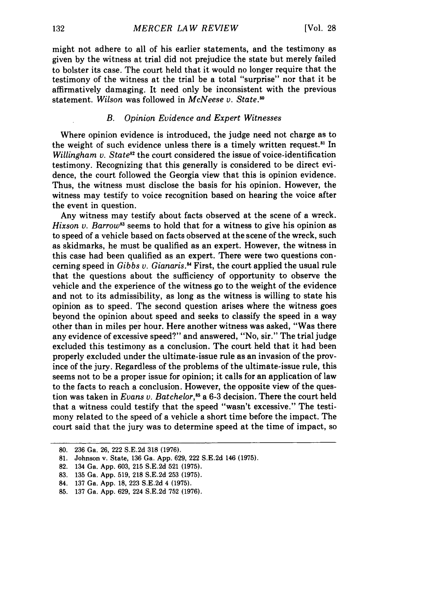might not adhere to all of his earlier statements, and the testimony as given by the witness at trial did not prejudice the state but merely failed to bolster its case. The court held that it would no longer require that the testimony of the witness at the trial be a total "surprise" nor that it be affirmatively damaging. It need only be inconsistent with the previous statement. *Wilson* was followed in *McNeese v. State."*

# *B. Opinion Evidence and Expert Witnesses*

Where opinion evidence is introduced, the judge need not charge as to the weight of such evidence unless there is a timely written request.<sup>81</sup> In *Willingham v. State<sup>82</sup>* the court considered the issue of voice-identification testimony. Recognizing that this generally is considered to be direct evidence, the court followed the Georgia view that this is opinion evidence. Thus, the witness must disclose the basis for his opinion. However, the witness may testify to voice recognition based on hearing the voice after the event in question.

Any witness may testify about facts observed at the scene of a wreck. *Hixson v. Barrow*<sup>83</sup> seems to hold that for a witness to give his opinion as to speed of a vehicle based on facts observed at the scene of the wreck, such as skidmarks, he must be qualified as an expert. However, the witness in this case had been qualified as an expert. There were two questions concerning speed in *Gibbs v. Gianaris.* First, the court applied the usual rule that the questions about the sufficiency of opportunity to observe the vehicle and the experience of the witness go to the weight of the evidence and not to its admissibility, as long as the witness is willing to state his opinion as to speed. The second question arises where the witness goes beyond the opinion about speed and seeks to classify the speed in a way other than in miles per hour. Here another witness was asked, "Was there any evidence of excessive speed?" and answered, "No, sir." The trial judge excluded this testimony as a conclusion. The court held that it had been properly excluded under the ultimate-issue rule as an invasion of the province of the jury. Regardless of the problems of the ultimate-issue rule, this seems not to be a proper issue for opinion; it calls for an application of law to the facts to reach a conclusion. However, the opposite view of the question was taken in *Evans v. Batchelor*,<sup>85</sup> a 6-3 decision. There the court held that a witness could testify that the speed "wasn't excessive." The testimony related to the speed of a vehicle a short time before the impact. The court said that the jury was to determine speed at the time of impact, so

<sup>80. 236</sup> Ga. 26, 222 S.E.2d 318 (1976).

<sup>81.</sup> Johnson v. State, 136 Ga. App. 629, 222 S.E.2d 146 (1975).

<sup>82. 134</sup> Ga. App. 603, 215 S.E.2d 521 (1975).

**<sup>83.</sup>** 135 Ga. App. 519, 218 S.E.2d 253 (1975).

<sup>84. 137</sup> Ga. App. 18, 223 S.E.2d 4 **(1975).**

**<sup>85.</sup>** 137 Ga. App. 629, 224 S.E.2d 752 (1976).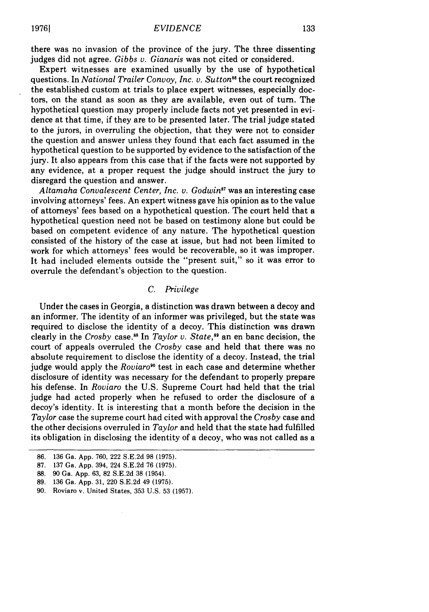there was no invasion of the province of the jury. The three dissenting judges did not agree. *Gibbs v. Gianaris* was not cited or considered.

Expert witnesses are examined usually by the use of hypothetical questions. In *National Trailer Convoy, Inc. v. Sutton"6* the court recognized the established custom at trials to place expert witnesses, especially doctors, on the stand as soon as they are available, even out of turn. The hypothetical question may properly include facts not yet presented in evidence at that time, if they are to be presented later. The trial judge stated to the jurors, in overruling the objection, that they were not to consider the question and answer unless they found that each fact assumed in the hypothetical question to be supported by evidence to the satisfaction of the jury. It also appears from this case that if the facts were not supported by any evidence, at a proper request the judge should instruct the jury to disregard the question and answer.

*Altamaha Convalescent Center, Inc. v. Godwin87* was an interesting case involving attorneys' fees. An expert witness gave his opinion as to the value of attorneys' fees based on a hypothetical question. The court held that a hypothetical question need not be based on testimony alone but could be based on competent evidence of any nature. The hypothetical question consisted of the history of the case at issue, but had not been limited to work for which attorneys' fees would be recoverable, so it was improper. It had included elements outside the "present suit," so it was error to overrule the defendant's objection to the question.

# *C. Privilege*

Under the cases in Georgia, a distinction was drawn between a decoy and an informer. The identity of an informer was privileged, but the state was required to disclose the identity of a decoy. This distinction was drawn clearly in the *Crosby* case.<sup>88</sup> In *Taylor v. State*,<sup>89</sup> an en banc decision, the court of appeals overruled the *Crosby* case and held that there was no absolute requirement to disclose the identity of a decoy. Instead, the trial judge would apply the *Roviaro'°* test in each case and determine whether disclosure of identity was necessary for the defendant to properly prepare his defense. In *Roviaro* the U.S. Supreme Court had held that the trial judge had acted properly when he refused to order the disclosure of a decoy's identity. It is interesting that a month before the decision in the *Taylor* case the supreme court had cited with approval the *Crosby* case and the other decisions overruled in *Taylor* and held that the state had fulfilled its obligation in disclosing the identity of a decoy, who was not called as a

- 88. 90 Ga. App. 63, 82 S.E.2d 38 (1954).
- 89. 136 Ga. App. 31, 220 S.E.2d 49 (1975).

<sup>86. 136</sup> Ga. App. 760, 222 S.E.2d 98 (1975).

<sup>87. 137</sup> Ga. App. 394, 224 S.E.2d 76 (1975).

<sup>90.</sup> Roviaro v. United States, 353 U.S. 53 (1957).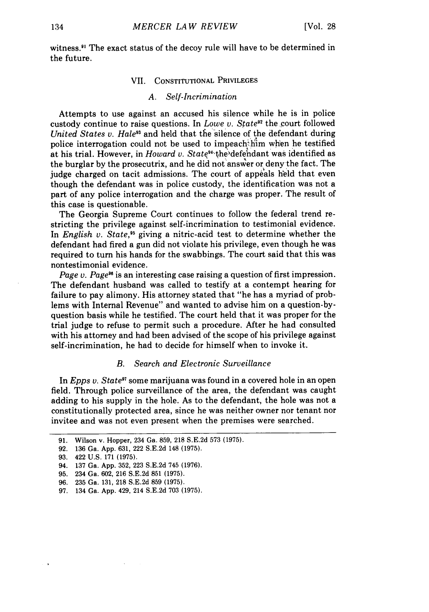witness.<sup>91</sup> The exact status of the decoy rule will have to be determined in the future.

#### VII. CONSTITUTIONAL PRIVILEGES

### *A. Self-Incrimination*

Attempts to use against an accused his silence while he is in police custody continue to raise questions. In *Lowe v. State*<sup>92</sup> the court followed *United States v. Hale<sup>93</sup>* and held that the silence of the defendant during police interrogation could not be used to impeach him when he testified at his trial. However, in *Howard v. State<sup>34</sup>* the defendant was identified as the burglar by the prosecutrix, and he did not answer or deny the fact. The judge charged on tacit admissions. The court of appeals held that even though the defendant was in police custody, the identification was not a part of any police interrogation and the charge was proper. The result of this case is questionable.

The Georgia Supreme Court continues to follow the federal trend restricting the privilege against self-incrimination to testimonial evidence. In *English v. State,"5* giving a nitric-acid test to determine whether the defendant had fired a gun did not violate his privilege, even though he was required to turn his hands for the swabbings. The court said that this was nontestimonial evidence.

*Page v. Page"* is an interesting case raising a question of first impression. The defendant husband was called to testify at a contempt hearing for failure to pay alimony. His attorney stated that "he has a myriad of problems with Internal Revenue" and wanted to advise him on a question-byquestion basis while he testified. The court held that it was proper for the trial judge to refuse to permit such a procedure. After he had consulted with his attorney and had been advised of the scope of his privilege against self-incrimination, he had to decide for himself when to invoke it.

# *B. Search and Electronic Surveillance*

In *Epps v. State97* some marijuana was found in a covered hole in an open field. Through police surveillance of the area, the defendant was caught adding to his supply in the hole. As to the defendant, the hole was not a constitutionally protected area, since he was neither owner nor tenant nor invitee and was not even present when the premises were searched.

92. 136 Ga. App. 631, 222 S.E.2d 148 (1975).

<sup>91.</sup> Wilson v. Hopper, 234 Ga. 859, 218 S.E.2d 573 (1975).

<sup>93. 422</sup> U.S. 171 (1975).

<sup>94. 137</sup> Ga. App. 352, 223 S.E.2d 745 (1976).

<sup>95. 234</sup> Ga. 602, 216 S.E.2d 851 (1975).

<sup>96. 235</sup> Ga. 131, 218 S.E.2d 859 (1975).

<sup>97. 134</sup> Ga. App. 429, 214 S.E.2d 703 (1975).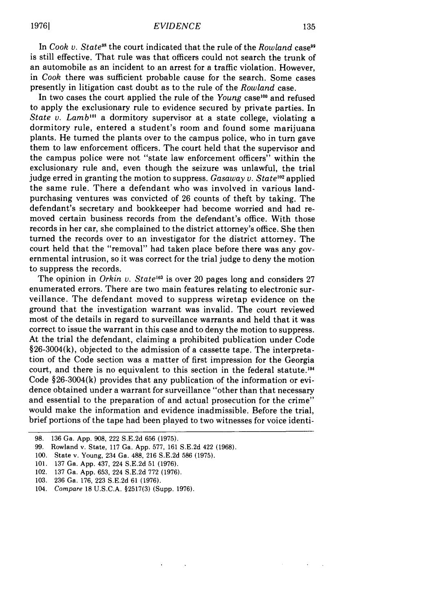In *Cook v. State"* the court indicated that the rule of the *Rowland* case" is still effective. That rule was that officers could not search the trunk of an automobile as an incident to an arrest for a traffic violation. However, in *Cook* there was sufficient probable cause for the search. Some cases presently in litigation cast doubt as to the rule of the *Rowland* case.

In two cases the court applied the rule of the *Young* case<sup>100</sup> and refused to apply the exclusionary rule to evidence secured by private parties. In *State v. Lamb'0'* a dormitory supervisor at a state college, violating a dormitory rule, entered a student's room and found some marijuana plants. He turned the plants over to the campus police, who in turn gave them to law enforcement officers. The court held that the supervisor and the campus police were not "state law enforcement officers" within the exclusionary rule and, even though the seizure was unlawful, the trial judge erred in granting the motion to suppress. *Gasaway v. State*<sup>102</sup> applied the same rule. There a defendant who was involved in various landpurchasing ventures was convicted of 26 counts of theft by taking. The defendant's secretary and bookkeeper had become worried and had removed certain business records from the defendant's office. With those records in her car, she complained to the district attorney's office. She then turned the records over to an investigator for the district attorney. The court held that the "removal" had taken place before there was any governmental intrusion, so it was correct for the trial judge to deny the motion to suppress the records.

The opinion in *Orkin v. State<sup>103</sup>* is over 20 pages long and considers 27 enumerated errors. There are two main features relating to electronic surveillance. The defendant moved to suppress wiretap evidence on the ground that the investigation warrant was invalid. The court reviewed most of the details in regard to surveillance warrants and held that it was correct to issue the warrant in this case and to deny the motion to suppress. At the trial the defendant, claiming a prohibited publication under Code §26-3004(k), objected to the admission of a cassette tape. The interpretation of the Code section was a matter of first impression for the Georgia court, and there is no equivalent to this section in the federal statute.<sup>104</sup> Code §26-3004(k) provides that any publication of the information or evidence obtained under a warrant for surveillance "other than that necessary and essential to the preparation of and actual prosecution for the crime" would make the information and evidence inadmissible. Before the trial, brief portions of the tape had been played to two witnesses for voice identi-

<sup>98. 136</sup> Ga. App. 908, 222 S.E.2d 656 (1975).

<sup>99.</sup> Rowland v. State, 117 Ga. App. 577, 161 S.E.2d 422 (1968).

<sup>100.</sup> State v. Young, 234 Ga. 488, 216 S.E.2d 586 (1975).

<sup>101. 137</sup> Ga. App. 437, 224 S.E.2d 51 (1976).

<sup>102. 137</sup> Ga. App. 653, 224 S.E.2d 772 (1976).

<sup>103. 236</sup> Ga. 176, 223 S.E.2d 61 (1976).

<sup>104.</sup> *Compare* 18 U.S.C.A. §2517(3) (Supp. 1976).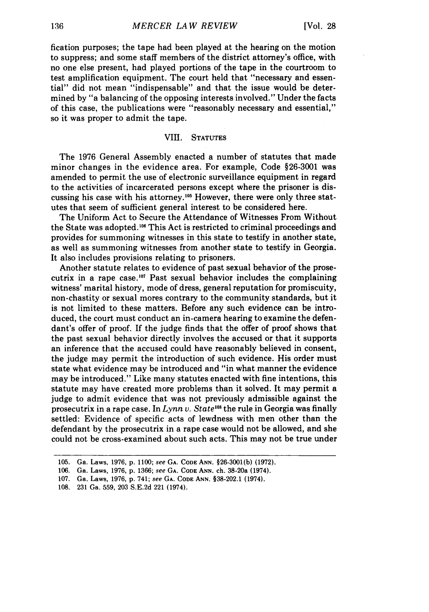fication purposes; the tape had been played at the hearing on the motion to suppress; and some staff members of the district attorney's office, with no one else present, had played portions of the tape in the courtroom to test amplification equipment. The court held that "necessary and essential" did not mean "indispensable" and that the issue would be determined by "a balancing of the opposing interests involved." Under the facts of this case, the publications were "reasonably necessary and essential," so it was proper to admit the tape.

### VIII. **STATUTES**

The 1976 General Assembly enacted a number of statutes that made minor changes in the evidence area. For example, Code §26-3001 was amended to permit the use of electronic surveillance equipment in regard to the activities of incarcerated persons except where the prisoner is discussing his case with his attorney.<sup>105</sup> However, there were only three statutes that seem of sufficient general interest to be considered here.

The Uniform Act to Secure the Attendance of Witnesses From Without the State was adopted.<sup>106</sup> This Act is restricted to criminal proceedings and provides for summoning witnesses in this state to testify in another state, as well as summoning witnesses from another state to testify in Georgia. It also includes provisions relating to prisoners.

Another statute relates to evidence of past sexual behavior of the prosecutrix in a rape case.<sup>107</sup> Past sexual behavior includes the complaining witness' marital history, mode of dress, general reputation for promiscuity, non-chastity or sexual mores contrary to the community standards, but it is not limited to these matters. Before any such evidence can be introduced, the court must conduct an in-camera hearing to examine the defendant's offer of proof. If the judge finds that the offer of proof shows that the past sexual behavior directly involves the accused or that it supports an inference that the accused could have reasonably believed in consent, the judge may permit the introduction of such evidence. His order must state what evidence may be introduced and "in what manner the evidence may be introduced." Like many statutes enacted with fine intentions, this statute may have created more problems than it solved. It may permit a judge to admit evidence that was not previously admissible against the prosecutrix in a rape case. In Lynn v. State<sup>108</sup> the rule in Georgia was finally settled: Evidence of specific acts of lewdness with men other than the defendant by the prosecutrix in a rape case would not be allowed, and she could not be cross-examined about such acts. This may not be true under

**<sup>105.</sup>** Ga. Laws, **1976, p. 1100;** see **GA. CODE ANN. §26-3001(b) (1972).**

**<sup>106.</sup>** Ga. Laws, **1976, p. 1366;** see **GA. CODE ANN.** ch. 38-20a (1974).

**<sup>107.</sup>** Ga. Laws, **1976, p.** 741; *see* **GA. CODE ANN. §38-202.1 (1974).**

**<sup>108. 231</sup>** Ga. **559, 203 S.E.2d** 221 (1974).